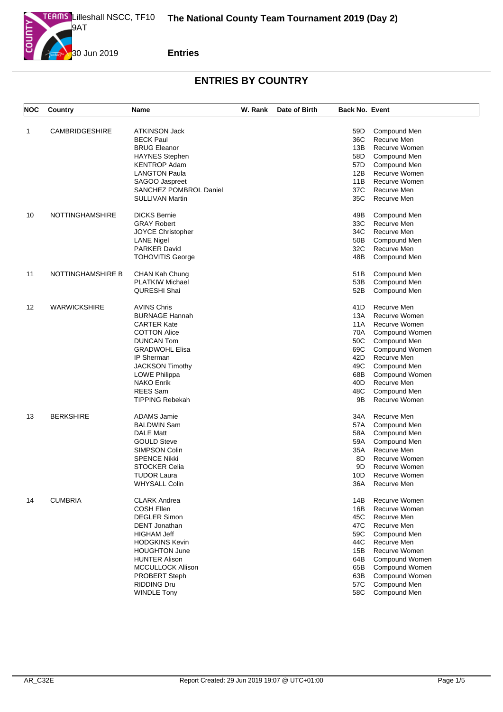

| NOC               | Country                | Name                     | W. Rank | Date of Birth | <b>Back No. Event</b> |                             |
|-------------------|------------------------|--------------------------|---------|---------------|-----------------------|-----------------------------|
| 1                 | <b>CAMBRIDGESHIRE</b>  | <b>ATKINSON Jack</b>     |         |               | 59D                   |                             |
|                   |                        | <b>BECK Paul</b>         |         |               | 36C                   | Compound Men<br>Recurve Men |
|                   |                        | <b>BRUG Eleanor</b>      |         |               | 13B                   | Recurve Women               |
|                   |                        | <b>HAYNES Stephen</b>    |         |               | 58D                   | Compound Men                |
|                   |                        | <b>KENTROP Adam</b>      |         |               |                       |                             |
|                   |                        |                          |         |               | 57D<br>12B            | Compound Men                |
|                   |                        | <b>LANGTON Paula</b>     |         |               | 11B                   | Recurve Women               |
|                   |                        | SAGOO Jaspreet           |         |               |                       | Recurve Women               |
|                   |                        | SANCHEZ POMBROL Daniel   |         |               | 37C                   | Recurve Men                 |
|                   |                        | <b>SULLIVAN Martin</b>   |         |               | 35C                   | Recurve Men                 |
| 10                | <b>NOTTINGHAMSHIRE</b> | <b>DICKS Bernie</b>      |         |               | 49B                   | Compound Men                |
|                   |                        | <b>GRAY Robert</b>       |         |               | 33C                   | Recurve Men                 |
|                   |                        | JOYCE Christopher        |         |               | 34C                   | Recurve Men                 |
|                   |                        | <b>LANE Nigel</b>        |         |               | 50B                   | Compound Men                |
|                   |                        | PARKER David             |         |               | 32C                   | Recurve Men                 |
|                   |                        | <b>TOHOVITIS George</b>  |         |               | 48B                   | Compound Men                |
| 11                | NOTTINGHAMSHIRE B      | CHAN Kah Chung           |         |               | 51B                   | Compound Men                |
|                   |                        | <b>PLATKIW Michael</b>   |         |               | 53B                   | Compound Men                |
|                   |                        | QURESHI Shai             |         |               | 52B                   | Compound Men                |
|                   |                        |                          |         |               |                       |                             |
| $12 \overline{ }$ | <b>WARWICKSHIRE</b>    | <b>AVINS Chris</b>       |         |               | 41D                   | Recurve Men                 |
|                   |                        | <b>BURNAGE Hannah</b>    |         |               | 13A                   | Recurve Women               |
|                   |                        | <b>CARTER Kate</b>       |         |               | 11A                   | Recurve Women               |
|                   |                        | <b>COTTON Alice</b>      |         |               | 70A                   | Compound Women              |
|                   |                        | <b>DUNCAN Tom</b>        |         |               | 50C                   | Compound Men                |
|                   |                        | <b>GRADWOHL Elisa</b>    |         |               | 69C                   | Compound Women              |
|                   |                        | IP Sherman               |         |               | 42D                   | Recurve Men                 |
|                   |                        | <b>JACKSON Timothy</b>   |         |               | 49C                   | Compound Men                |
|                   |                        | LOWE Philippa            |         |               | 68B                   | Compound Women              |
|                   |                        | <b>NAKO Enrik</b>        |         |               | 40D                   | Recurve Men                 |
|                   |                        | <b>REES</b> Sam          |         |               | 48C                   | Compound Men                |
|                   |                        | <b>TIPPING Rebekah</b>   |         |               | 9Β                    | Recurve Women               |
|                   |                        |                          |         |               |                       |                             |
| 13                | <b>BERKSHIRE</b>       | ADAMS Jamie              |         |               | 34A                   | Recurve Men                 |
|                   |                        | <b>BALDWIN Sam</b>       |         |               | 57A                   | Compound Men                |
|                   |                        | <b>DALE Matt</b>         |         |               | 58A                   | Compound Men                |
|                   |                        | <b>GOULD Steve</b>       |         |               | 59A                   | Compound Men                |
|                   |                        | <b>SIMPSON Colin</b>     |         |               | 35A                   | Recurve Men                 |
|                   |                        | <b>SPENCE Nikki</b>      |         |               | 8D                    | Recurve Women               |
|                   |                        | <b>STOCKER Celia</b>     |         |               | 9D                    | Recurve Women               |
|                   |                        | <b>TUDOR Laura</b>       |         |               | 10D                   | Recurve Women               |
|                   |                        | WHYSALL Colin            |         |               | 36A                   | Recurve Men                 |
| 14                | <b>CUMBRIA</b>         | <b>CLARK Andrea</b>      |         |               | 14B                   | Recurve Women               |
|                   |                        | COSH Ellen               |         |               | 16B                   | Recurve Women               |
|                   |                        | <b>DEGLER Simon</b>      |         |               | 45C                   | Recurve Men                 |
|                   |                        | DENT Jonathan            |         |               |                       |                             |
|                   |                        |                          |         |               | 47C                   | Recurve Men                 |
|                   |                        | <b>HIGHAM Jeff</b>       |         |               | 59C                   | Compound Men                |
|                   |                        | <b>HODGKINS Kevin</b>    |         |               | 44C                   | Recurve Men                 |
|                   |                        | <b>HOUGHTON June</b>     |         |               | 15B                   | Recurve Women               |
|                   |                        | <b>HUNTER Alison</b>     |         |               | 64B                   | Compound Women              |
|                   |                        | <b>MCCULLOCK Allison</b> |         |               | 65B                   | Compound Women              |
|                   |                        | <b>PROBERT Steph</b>     |         |               | 63B                   | Compound Women              |
|                   |                        | <b>RIDDING Dru</b>       |         |               | 57C                   | Compound Men                |
|                   |                        | <b>WINDLE Tony</b>       |         |               | 58C                   | Compound Men                |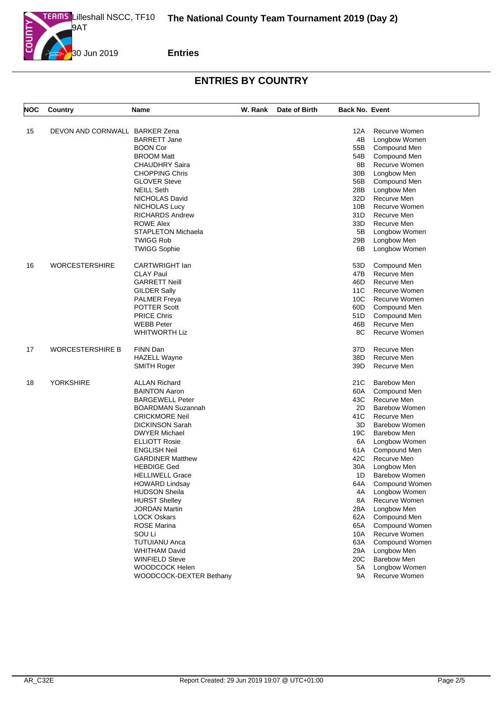

| <b>NOC</b> | Country                        | Name                      | W. Rank | Date of Birth | <b>Back No. Event</b> |                      |
|------------|--------------------------------|---------------------------|---------|---------------|-----------------------|----------------------|
|            |                                |                           |         |               |                       |                      |
| 15         | DEVON AND CORNWALL BARKER Zena |                           |         |               | 12A                   | Recurve Women        |
|            |                                | <b>BARRETT Jane</b>       |         |               | 4B                    | Longbow Women        |
|            |                                | <b>BOON Cor</b>           |         |               | 55B                   | Compound Men         |
|            |                                | <b>BROOM Matt</b>         |         |               | 54B                   | Compound Men         |
|            |                                | <b>CHAUDHRY Saira</b>     |         |               | 8Β                    | Recurve Women        |
|            |                                | <b>CHOPPING Chris</b>     |         |               | 30B                   | Longbow Men          |
|            |                                | <b>GLOVER Steve</b>       |         |               | 56B                   | Compound Men         |
|            |                                | <b>NEILL Seth</b>         |         |               | 28B                   | Longbow Men          |
|            |                                | NICHOLAS David            |         |               | 32D                   | Recurve Men          |
|            |                                | NICHOLAS Lucy             |         |               | 10B                   | Recurve Women        |
|            |                                | <b>RICHARDS Andrew</b>    |         |               | 31D                   | Recurve Men          |
|            |                                | <b>ROWE Alex</b>          |         |               | 33D                   | Recurve Men          |
|            |                                | <b>STAPLETON Michaela</b> |         |               | 5B                    | Longbow Women        |
|            |                                | <b>TWIGG Rob</b>          |         |               | 29B                   | Longbow Men          |
|            |                                | <b>TWIGG Sophie</b>       |         |               | 6B                    | Longbow Women        |
| 16         | <b>WORCESTERSHIRE</b>          | <b>CARTWRIGHT</b> lan     |         |               | 53D                   | Compound Men         |
|            |                                | <b>CLAY Paul</b>          |         |               | 47B                   | Recurve Men          |
|            |                                | <b>GARRETT Neill</b>      |         |               | 46D                   | Recurve Men          |
|            |                                | <b>GILDER Sally</b>       |         |               | 11C                   | Recurve Women        |
|            |                                | <b>PALMER Freya</b>       |         |               | 10 <sup>C</sup>       | Recurve Women        |
|            |                                | <b>POTTER Scott</b>       |         |               | 60D                   | Compound Men         |
|            |                                | <b>PRICE Chris</b>        |         |               | 51D                   | Compound Men         |
|            |                                | <b>WEBB Peter</b>         |         |               | 46B                   | Recurve Men          |
|            |                                | <b>WHITWORTH Liz</b>      |         |               | 8C                    | Recurve Women        |
| 17         | <b>WORCESTERSHIRE B</b>        | FINN Dan                  |         |               | 37D                   | Recurve Men          |
|            |                                |                           |         |               | 38D                   | Recurve Men          |
|            |                                | <b>HAZELL Wayne</b>       |         |               |                       |                      |
|            |                                | SMITH Roger               |         |               | 39D                   | Recurve Men          |
| 18         | <b>YORKSHIRE</b>               | <b>ALLAN Richard</b>      |         |               | 21C                   | <b>Barebow Men</b>   |
|            |                                | <b>BAINTON Aaron</b>      |         |               | 60A                   | Compound Men         |
|            |                                | <b>BARGEWELL Peter</b>    |         |               | 43C                   | Recurve Men          |
|            |                                | <b>BOARDMAN Suzannah</b>  |         |               | 2D                    | <b>Barebow Women</b> |
|            |                                | <b>CRICKMORE Neil</b>     |         |               | 41C                   | Recurve Men          |
|            |                                | <b>DICKINSON Sarah</b>    |         |               | 3D                    | <b>Barebow Women</b> |
|            |                                | <b>DWYER Michael</b>      |         |               | 19C                   | <b>Barebow Men</b>   |
|            |                                | <b>ELLIOTT Rosie</b>      |         |               | 6A                    | Longbow Women        |
|            |                                | <b>ENGLISH Neil</b>       |         |               | 61 A                  | Compound Men         |
|            |                                | <b>GARDINER Matthew</b>   |         |               | 42C                   | Recurve Men          |
|            |                                | <b>HEBDIGE Ged</b>        |         |               | 30A                   | Longbow Men          |
|            |                                | <b>HELLIWELL Grace</b>    |         |               | 1D                    | <b>Barebow Women</b> |
|            |                                | <b>HOWARD Lindsay</b>     |         |               | 64A                   | Compound Women       |
|            |                                | <b>HUDSON Sheila</b>      |         |               | 4A                    | Longbow Women        |
|            |                                | <b>HURST Shelley</b>      |         |               | 8A                    | Recurve Women        |
|            |                                | <b>JORDAN Martin</b>      |         |               | 28A                   | Longbow Men          |
|            |                                | <b>LOCK Oskars</b>        |         |               | 62A                   | Compound Men         |
|            |                                | <b>ROSE Marina</b>        |         |               | 65A                   | Compound Women       |
|            |                                | SOU Li                    |         |               | 10A                   | Recurve Women        |
|            |                                | <b>TUTUIANU Anca</b>      |         |               | 63A                   | Compound Women       |
|            |                                | <b>WHITHAM David</b>      |         |               | 29A                   | Longbow Men          |
|            |                                | <b>WINFIELD Steve</b>     |         |               | 20C                   | <b>Barebow Men</b>   |
|            |                                | WOODCOCK Helen            |         |               | 5A                    | Longbow Women        |
|            |                                | WOODCOCK-DEXTER Bethany   |         |               | 9A                    | Recurve Women        |
|            |                                |                           |         |               |                       |                      |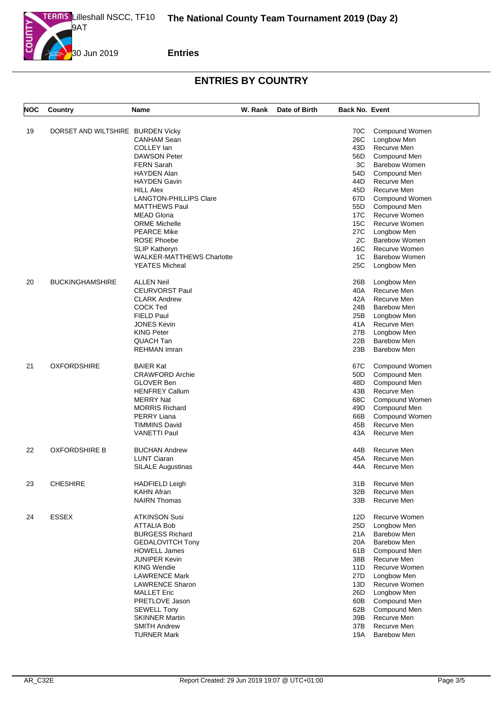

| <b>NOC</b> | Country                           | Name                                         | W. Rank | Date of Birth | <b>Back No. Event</b> |                            |
|------------|-----------------------------------|----------------------------------------------|---------|---------------|-----------------------|----------------------------|
| 19         | DORSET AND WILTSHIRE BURDEN Vicky |                                              |         |               | 70C                   | Compound Women             |
|            |                                   | <b>CANHAM Sean</b>                           |         |               | 26C                   | Longbow Men                |
|            |                                   | COLLEY lan                                   |         |               | 43D                   | Recurve Men                |
|            |                                   | <b>DAWSON Peter</b>                          |         |               | 56D                   | Compound Men               |
|            |                                   | <b>FERN Sarah</b>                            |         |               | ЗC                    | <b>Barebow Women</b>       |
|            |                                   | <b>HAYDEN Alan</b>                           |         |               | 54D                   | Compound Men               |
|            |                                   | <b>HAYDEN Gavin</b>                          |         |               | 44D                   | Recurve Men                |
|            |                                   | <b>HILL Alex</b>                             |         |               | 45D                   | Recurve Men                |
|            |                                   | <b>LANGTON-PHILLIPS Clare</b>                |         |               | 67D                   | Compound Women             |
|            |                                   | <b>MATTHEWS Paul</b>                         |         |               | 55D                   | Compound Men               |
|            |                                   | <b>MEAD Gloria</b>                           |         |               | 17C                   | Recurve Women              |
|            |                                   | <b>ORME Michelle</b>                         |         |               | 15C                   | Recurve Women              |
|            |                                   | <b>PEARCE Mike</b>                           |         |               | 27C                   | Longbow Men                |
|            |                                   | <b>ROSE Phoebe</b>                           |         |               | 2C                    | <b>Barebow Women</b>       |
|            |                                   | <b>SLIP Katheryn</b>                         |         |               | 16C                   | Recurve Women              |
|            |                                   | <b>WALKER-MATTHEWS Charlotte</b>             |         |               | 1C                    | <b>Barebow Women</b>       |
|            |                                   | <b>YEATES Micheal</b>                        |         |               | 25C                   |                            |
|            |                                   |                                              |         |               |                       | Longbow Men                |
| 20         | <b>BUCKINGHAMSHIRE</b>            | <b>ALLEN Neil</b>                            |         |               | 26B                   | Longbow Men                |
|            |                                   | <b>CEURVORST Paul</b>                        |         |               | 40A                   | Recurve Men                |
|            |                                   | <b>CLARK Andrew</b>                          |         |               | 42A                   | Recurve Men                |
|            |                                   | <b>COCK Ted</b>                              |         |               | 24B                   | <b>Barebow Men</b>         |
|            |                                   | <b>FIELD Paul</b>                            |         |               | 25B                   | Longbow Men                |
|            |                                   | <b>JONES Kevin</b>                           |         |               | 41 A                  | Recurve Men                |
|            |                                   | <b>KING Peter</b>                            |         |               | 27B                   | Longbow Men                |
|            |                                   | QUACH Tan                                    |         |               | 22B                   | <b>Barebow Men</b>         |
|            |                                   | <b>REHMAN Imran</b>                          |         |               | 23B                   | <b>Barebow Men</b>         |
| 21         | <b>OXFORDSHIRE</b>                | <b>BAIER Kat</b>                             |         |               | 67C                   | Compound Women             |
|            |                                   | <b>CRAWFORD Archie</b>                       |         |               | 50D                   | Compound Men               |
|            |                                   | <b>GLOVER Ben</b>                            |         |               | 48D                   | Compound Men               |
|            |                                   | <b>HENFREY Callum</b>                        |         |               | 43B                   | Recurve Men                |
|            |                                   | <b>MERRY Nat</b>                             |         |               | 68C                   | Compound Women             |
|            |                                   | <b>MORRIS Richard</b>                        |         |               | 49D                   | Compound Men               |
|            |                                   | PERRY Liana                                  |         |               | 66B                   | Compound Women             |
|            |                                   | <b>TIMMINS David</b>                         |         |               | 45B                   | Recurve Men                |
|            |                                   | <b>VANETTI Paul</b>                          |         |               | 43A                   | Recurve Men                |
| 22         | <b>OXFORDSHIRE B</b>              | <b>BUCHAN Andrew</b>                         |         |               | 44B                   | Recurve Men                |
|            |                                   | <b>LUNT Ciaran</b>                           |         |               | 45A                   | Recurve Men                |
|            |                                   | <b>SILALE Augustinas</b>                     |         |               | 44A                   | Recurve Men                |
| 23         | <b>CHESHIRE</b>                   | <b>HADFIELD Leigh</b>                        |         |               | 31 B                  | Recurve Men                |
|            |                                   | <b>KAHN Afran</b>                            |         |               | 32B                   | Recurve Men                |
|            |                                   | <b>NAIRN Thomas</b>                          |         |               | 33B                   | Recurve Men                |
| 24         | <b>ESSEX</b>                      | <b>ATKINSON Susi</b>                         |         |               | 12D                   | Recurve Women              |
|            |                                   | <b>ATTALIA Bob</b>                           |         |               | 25D                   | Longbow Men                |
|            |                                   | <b>BURGESS Richard</b>                       |         |               | 21A                   | <b>Barebow Men</b>         |
|            |                                   | <b>GEDALOVITCH Tony</b>                      |         |               | 20A                   | Barebow Men                |
|            |                                   | <b>HOWELL James</b>                          |         |               | 61B                   | Compound Men               |
|            |                                   | <b>JUNIPER Kevin</b>                         |         |               | 38B                   | Recurve Men                |
|            |                                   | <b>KING Wendie</b>                           |         |               | 11D                   | Recurve Women              |
|            |                                   | <b>LAWRENCE Mark</b>                         |         |               | 27D                   | Longbow Men                |
|            |                                   | <b>LAWRENCE Sharon</b>                       |         |               | 13D                   | Recurve Women              |
|            |                                   | <b>MALLET Eric</b>                           |         |               | 26D                   | Longbow Men                |
|            |                                   | PRETLOVE Jason                               |         |               | 60B                   | Compound Men               |
|            |                                   | <b>SEWELL Tony</b>                           |         |               |                       | Compound Men               |
|            |                                   |                                              |         |               | 62B                   |                            |
|            |                                   | <b>SKINNER Martin</b><br><b>SMITH Andrew</b> |         |               | 39B<br>37B            | Recurve Men<br>Recurve Men |
|            |                                   | <b>TURNER Mark</b>                           |         |               |                       | <b>Barebow Men</b>         |
|            |                                   |                                              |         |               | 19A                   |                            |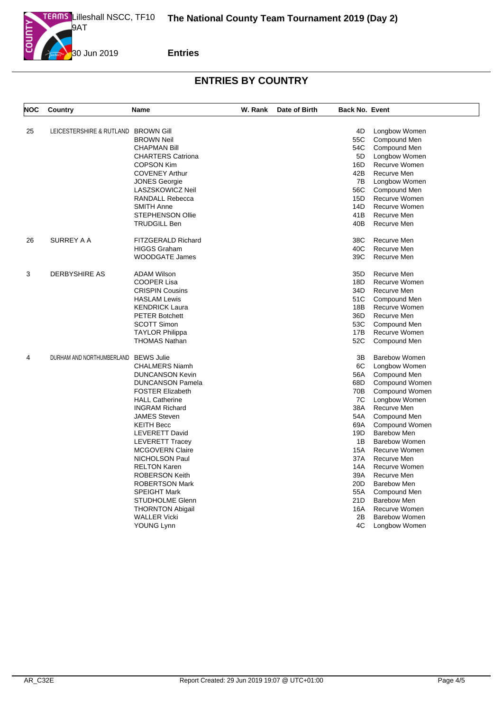

| <b>NOC</b> | Country                              | <b>Name</b>              | W. Rank | Date of Birth | <b>Back No. Event</b> |                               |
|------------|--------------------------------------|--------------------------|---------|---------------|-----------------------|-------------------------------|
|            |                                      |                          |         |               |                       |                               |
| 25         | LEICESTERSHIRE & RUTLAND BROWN GIII  | <b>BROWN Neil</b>        |         |               | 4D<br>55C             | Longbow Women<br>Compound Men |
|            |                                      | <b>CHAPMAN Bill</b>      |         |               | 54C                   | Compound Men                  |
|            |                                      | <b>CHARTERS Catriona</b> |         |               | 5D                    | Longbow Women                 |
|            |                                      | <b>COPSON Kim</b>        |         |               | 16D                   | Recurve Women                 |
|            |                                      | <b>COVENEY Arthur</b>    |         |               | 42B                   | Recurve Men                   |
|            |                                      | <b>JONES Georgie</b>     |         |               | 7B                    | Longbow Women                 |
|            |                                      | LASZSKOWICZ Neil         |         |               | 56C                   | Compound Men                  |
|            |                                      | <b>RANDALL Rebecca</b>   |         |               | 15D                   | Recurve Women                 |
|            |                                      | <b>SMITH Anne</b>        |         |               | 14D                   | Recurve Women                 |
|            |                                      | <b>STEPHENSON Ollie</b>  |         |               | 41B                   | Recurve Men                   |
|            |                                      | <b>TRUDGILL Ben</b>      |         |               | 40B                   | Recurve Men                   |
|            |                                      |                          |         |               |                       |                               |
| 26         | SURREY A A                           | FITZGERALD Richard       |         |               | 38C                   | Recurve Men                   |
|            |                                      | <b>HIGGS Graham</b>      |         |               | 40C                   | Recurve Men                   |
|            |                                      | <b>WOODGATE James</b>    |         |               | 39C                   | Recurve Men                   |
| 3          | DERBYSHIRE AS                        | <b>ADAM Wilson</b>       |         |               | 35D                   | Recurve Men                   |
|            |                                      | <b>COOPER Lisa</b>       |         |               | 18D                   | Recurve Women                 |
|            |                                      | <b>CRISPIN Cousins</b>   |         |               | 34D                   | Recurve Men                   |
|            |                                      | <b>HASLAM Lewis</b>      |         |               | 51C                   | Compound Men                  |
|            |                                      | <b>KENDRICK Laura</b>    |         |               | 18B                   | Recurve Women                 |
|            |                                      | <b>PETER Botchett</b>    |         |               | 36D                   | Recurve Men                   |
|            |                                      | <b>SCOTT Simon</b>       |         |               | 53C .                 | Compound Men                  |
|            |                                      | <b>TAYLOR Philippa</b>   |         |               | 17B                   | Recurve Women                 |
|            |                                      | <b>THOMAS Nathan</b>     |         |               | 52C                   | Compound Men                  |
|            |                                      |                          |         |               |                       |                               |
| 4          | DURHAM AND NORTHUMBERLAND BEWS Julie |                          |         |               | 3B                    | <b>Barebow Women</b>          |
|            |                                      | <b>CHALMERS Niamh</b>    |         |               | 6C                    | Longbow Women                 |
|            |                                      | <b>DUNCANSON Kevin</b>   |         |               | 56A                   | Compound Men                  |
|            |                                      | <b>DUNCANSON Pamela</b>  |         |               | 68D                   | Compound Women                |
|            |                                      | <b>FOSTER Elizabeth</b>  |         |               | 70B                   | Compound Women                |
|            |                                      | <b>HALL Catherine</b>    |         |               | 7C                    | Longbow Women                 |
|            |                                      | <b>INGRAM Richard</b>    |         |               | 38A                   | Recurve Men                   |
|            |                                      | <b>JAMES Steven</b>      |         |               | 54A                   | Compound Men                  |
|            |                                      | <b>KEITH Becc</b>        |         |               | 69A                   | Compound Women                |
|            |                                      | LEVERETT David           |         |               | 19D                   | <b>Barebow Men</b>            |
|            |                                      | <b>LEVERETT Tracey</b>   |         |               | 1B                    | Barebow Women                 |
|            |                                      | <b>MCGOVERN Claire</b>   |         |               | 15A                   | Recurve Women                 |
|            |                                      | NICHOLSON Paul           |         |               | 37A                   | Recurve Men                   |
|            |                                      | <b>RELTON Karen</b>      |         |               | 14A                   | Recurve Women                 |
|            |                                      | <b>ROBERSON Keith</b>    |         |               | 39A                   | Recurve Men                   |
|            |                                      | <b>ROBERTSON Mark</b>    |         |               | 20D                   | <b>Barebow Men</b>            |
|            |                                      | <b>SPEIGHT Mark</b>      |         |               | 55A                   | Compound Men                  |
|            |                                      | <b>STUDHOLME Glenn</b>   |         |               | 21D                   | <b>Barebow Men</b>            |
|            |                                      | <b>THORNTON Abigail</b>  |         |               | 16A                   | Recurve Women                 |
|            |                                      | <b>WALLER Vicki</b>      |         |               | 2B                    | <b>Barebow Women</b>          |
|            |                                      | YOUNG Lynn               |         |               | 4C                    | Longbow Women                 |